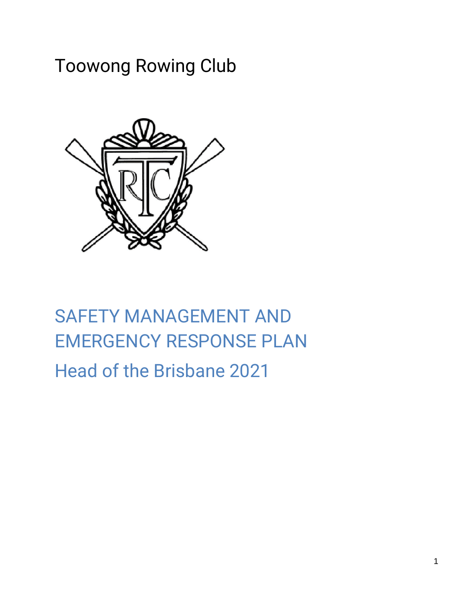## Toowong Rowing Club



## SAFETY MANAGEMENT AND EMERGENCY RESPONSE PLAN Head of the Brisbane 2021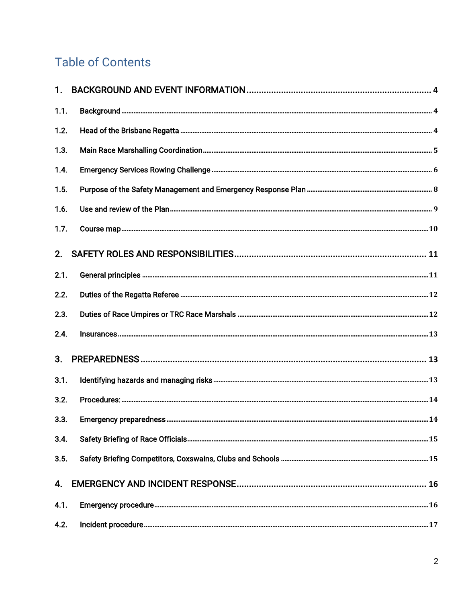#### **Table of Contents**

| 1.1. |                    |  |
|------|--------------------|--|
| 1.2. |                    |  |
| 1.3. |                    |  |
| 1.4. |                    |  |
| 1.5. |                    |  |
| 1.6. |                    |  |
| 1.7. |                    |  |
| 2.   |                    |  |
| 2.1. |                    |  |
| 2.2. |                    |  |
| 2.3. |                    |  |
| 2.4. | $In surfaces. 133$ |  |
| 3.   |                    |  |
| 3.1. |                    |  |
| 3.2. |                    |  |
| 3.3. |                    |  |
| 3.4. |                    |  |
| 3.5. |                    |  |
| 4.   |                    |  |
| 4.1. |                    |  |
| 4.2. |                    |  |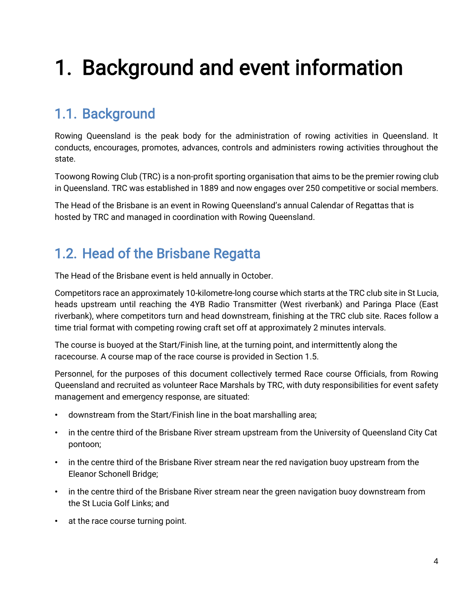# <span id="page-3-0"></span>1. Background and event information

### <span id="page-3-1"></span>1.1. Background

Rowing Queensland is the peak body for the administration of rowing activities in Queensland. It conducts, encourages, promotes, advances, controls and administers rowing activities throughout the state.

Toowong Rowing Club (TRC) is a non-profit sporting organisation that aims to be the premier rowing club in Queensland. TRC was established in 1889 and now engages over 250 competitive or social members.

The Head of the Brisbane is an event in Rowing Queensland's annual Calendar of Regattas that is hosted by TRC and managed in coordination with Rowing Queensland.

#### <span id="page-3-2"></span>1.2. Head of the Brisbane Regatta

The Head of the Brisbane event is held annually in October.

Competitors race an approximately 10-kilometre-long course which starts at the TRC club site in St Lucia, heads upstream until reaching the 4YB Radio Transmitter (West riverbank) and Paringa Place (East riverbank), where competitors turn and head downstream, finishing at the TRC club site. Races follow a time trial format with competing rowing craft set off at approximately 2 minutes intervals.

The course is buoyed at the Start/Finish line, at the turning point, and intermittently along the racecourse. A course map of the race course is provided in Section 1.5.

Personnel, for the purposes of this document collectively termed Race course Officials, from Rowing Queensland and recruited as volunteer Race Marshals by TRC, with duty responsibilities for event safety management and emergency response, are situated:

- downstream from the Start/Finish line in the boat marshalling area;
- in the centre third of the Brisbane River stream upstream from the University of Queensland City Cat pontoon;
- in the centre third of the Brisbane River stream near the red navigation buoy upstream from the Eleanor Schonell Bridge;
- in the centre third of the Brisbane River stream near the green navigation buoy downstream from the St Lucia Golf Links; and
- at the race course turning point.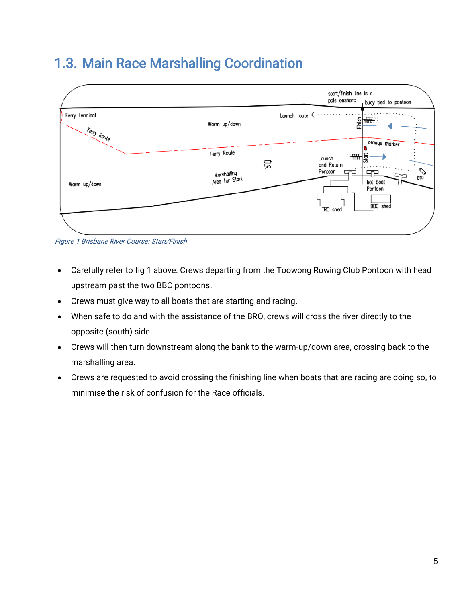#### <span id="page-4-0"></span>1.3. Main Race Marshalling Coordination



Figure 1 Brisbane River Course: Start/Finish

- Carefully refer to fig 1 above: Crews departing from the Toowong Rowing Club Pontoon with head upstream past the two BBC pontoons.
- Crews must give way to all boats that are starting and racing.
- When safe to do and with the assistance of the BRO, crews will cross the river directly to the opposite (south) side.
- Crews will then turn downstream along the bank to the warm-up/down area, crossing back to the marshalling area.
- Crews are requested to avoid crossing the finishing line when boats that are racing are doing so, to minimise the risk of confusion for the Race officials.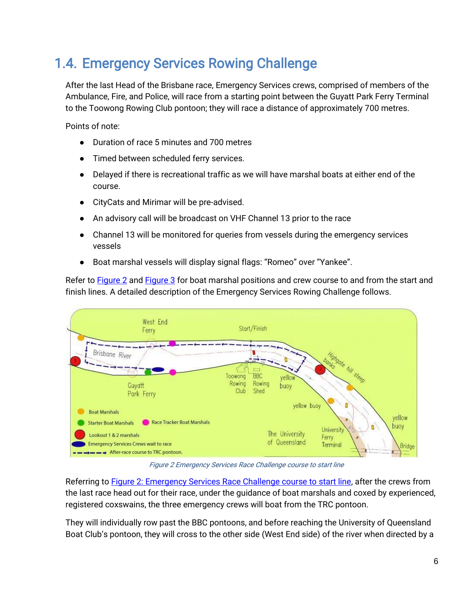### <span id="page-5-0"></span>1.4. Emergency Services Rowing Challenge

After the last Head of the Brisbane race, Emergency Services crews, comprised of members of the Ambulance, Fire, and Police, will race from a starting point between the Guyatt Park Ferry Terminal to the Toowong Rowing Club pontoon; they will race a distance of approximately 700 metres.

Points of note:

- Duration of race 5 minutes and 700 metres
- Timed between scheduled ferry services.
- Delayed if there is recreational traffic as we will have marshal boats at either end of the course.
- CityCats and Mirimar will be pre-advised.
- An advisory call will be broadcast on VHF Channel 13 prior to the race
- Channel 13 will be monitored for queries from vessels during the emergency services vessels
- Boat marshal vessels will display signal flags: "Romeo" over "Yankee".

Refer to [Figure 2](#page-5-1) an[d Figure 3](#page-7-0) for boat marshal positions and crew course to and from the start and finish lines. A detailed description of the Emergency Services Rowing Challenge follows.



Figure 2 Emergency Services Race Challenge course to start line

<span id="page-5-1"></span>Referring to **Figure 2: Emergency Services Race Challenge course to start line**, after the crews from the last race head out for their race, under the guidance of boat marshals and coxed by experienced, registered coxswains, the three emergency crews will boat from the TRC pontoon.

They will individually row past the BBC pontoons, and before reaching the University of Queensland Boat Club's pontoon, they will cross to the other side (West End side) of the river when directed by a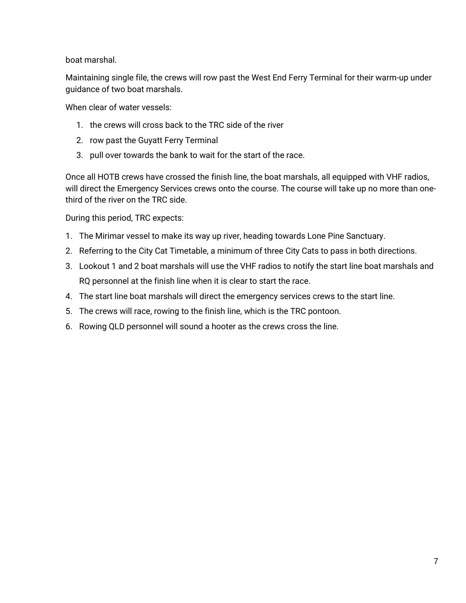boat marshal.

Maintaining single file, the crews will row past the West End Ferry Terminal for their warm-up under guidance of two boat marshals.

When clear of water vessels:

- 1. the crews will cross back to the TRC side of the river
- 2. row past the Guyatt Ferry Terminal
- 3. pull over towards the bank to wait for the start of the race.

Once all HOTB crews have crossed the finish line, the boat marshals, all equipped with VHF radios, will direct the Emergency Services crews onto the course. The course will take up no more than onethird of the river on the TRC side.

During this period, TRC expects:

- 1. The Mirimar vessel to make its way up river, heading towards Lone Pine Sanctuary.
- 2. Referring to the City Cat Timetable, a minimum of three City Cats to pass in both directions.
- 3. Lookout 1 and 2 boat marshals will use the VHF radios to notify the start line boat marshals and RQ personnel at the finish line when it is clear to start the race.
- 4. The start line boat marshals will direct the emergency services crews to the start line.
- 5. The crews will race, rowing to the finish line, which is the TRC pontoon.
- 6. Rowing QLD personnel will sound a hooter as the crews cross the line.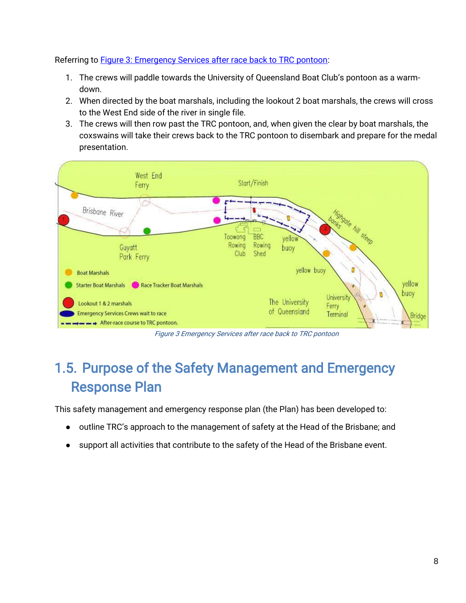Referring to **Figure 3: Emergency Services after race back to TRC pontoon:** 

- 1. The crews will paddle towards the University of Queensland Boat Club's pontoon as a warmdown.
- 2. When directed by the boat marshals, including the lookout 2 boat marshals, the crews will cross to the West End side of the river in single file.
- 3. The crews will then row past the TRC pontoon, and, when given the clear by boat marshals, the coxswains will take their crews back to the TRC pontoon to disembark and prepare for the medal presentation.



Figure 3 Emergency Services after race back to TRC pontoon

### <span id="page-7-0"></span>1.5. Purpose of the Safety Management and Emergency Response Plan

This safety management and emergency response plan (the Plan) has been developed to:

- outline TRC's approach to the management of safety at the Head of the Brisbane; and
- support all activities that contribute to the safety of the Head of the Brisbane event.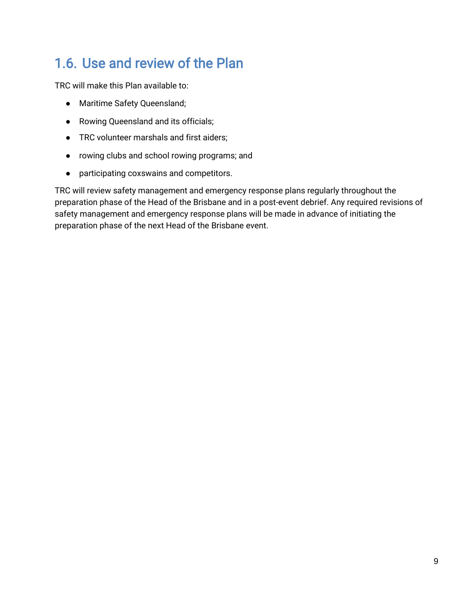### <span id="page-8-0"></span>1.6. Use and review of the Plan

TRC will make this Plan available to:

- Maritime Safety Queensland;
- Rowing Queensland and its officials;
- TRC volunteer marshals and first aiders;
- rowing clubs and school rowing programs; and
- participating coxswains and competitors.

TRC will review safety management and emergency response plans regularly throughout the preparation phase of the Head of the Brisbane and in a post-event debrief. Any required revisions of safety management and emergency response plans will be made in advance of initiating the preparation phase of the next Head of the Brisbane event.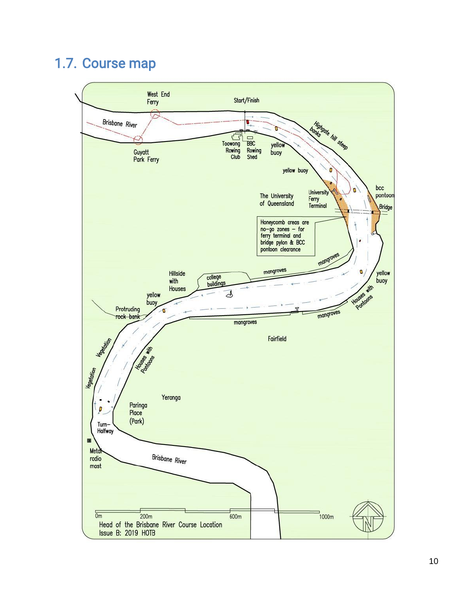#### <span id="page-9-0"></span>1.7. Course map

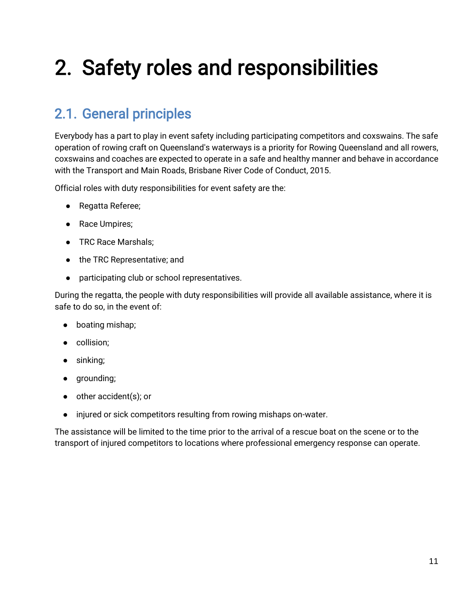# <span id="page-10-0"></span>2. Safety roles and responsibilities

### <span id="page-10-1"></span>2.1. General principles

Everybody has a part to play in event safety including participating competitors and coxswains. The safe operation of rowing craft on Queensland's waterways is a priority for Rowing Queensland and all rowers, coxswains and coaches are expected to operate in a safe and healthy manner and behave in accordance with the Transport and Main Roads, Brisbane River Code of Conduct, 2015.

Official roles with duty responsibilities for event safety are the:

- Regatta Referee;
- Race Umpires;
- TRC Race Marshals;
- the TRC Representative; and
- participating club or school representatives.

During the regatta, the people with duty responsibilities will provide all available assistance, where it is safe to do so, in the event of:

- boating mishap;
- collision;
- sinking;
- grounding;
- other accident(s); or
- injured or sick competitors resulting from rowing mishaps on-water.

The assistance will be limited to the time prior to the arrival of a rescue boat on the scene or to the transport of injured competitors to locations where professional emergency response can operate.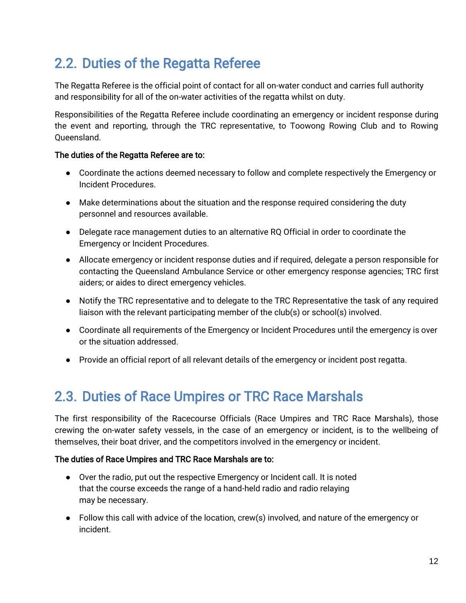### <span id="page-11-0"></span>2.2. Duties of the Regatta Referee

The Regatta Referee is the official point of contact for all on-water conduct and carries full authority and responsibility for all of the on-water activities of the regatta whilst on duty.

Responsibilities of the Regatta Referee include coordinating an emergency or incident response during the event and reporting, through the TRC representative, to Toowong Rowing Club and to Rowing Queensland.

#### The duties of the Regatta Referee are to:

- Coordinate the actions deemed necessary to follow and complete respectively the Emergency or Incident Procedures.
- Make determinations about the situation and the response required considering the duty personnel and resources available.
- Delegate race management duties to an alternative RQ Official in order to coordinate the Emergency or Incident Procedures.
- Allocate emergency or incident response duties and if required, delegate a person responsible for contacting the Queensland Ambulance Service or other emergency response agencies; TRC first aiders; or aides to direct emergency vehicles.
- Notify the TRC representative and to delegate to the TRC Representative the task of any required liaison with the relevant participating member of the club(s) or school(s) involved.
- Coordinate all requirements of the Emergency or Incident Procedures until the emergency is over or the situation addressed.
- Provide an official report of all relevant details of the emergency or incident post regatta.

#### <span id="page-11-1"></span>2.3. Duties of Race Umpires or TRC Race Marshals

The first responsibility of the Racecourse Officials (Race Umpires and TRC Race Marshals), those crewing the on-water safety vessels, in the case of an emergency or incident, is to the wellbeing of themselves, their boat driver, and the competitors involved in the emergency or incident.

#### The duties of Race Umpires and TRC Race Marshals are to:

- Over the radio, put out the respective Emergency or Incident call. It is noted that the course exceeds the range of a hand-held radio and radio relaying may be necessary.
- Follow this call with advice of the location, crew(s) involved, and nature of the emergency or incident.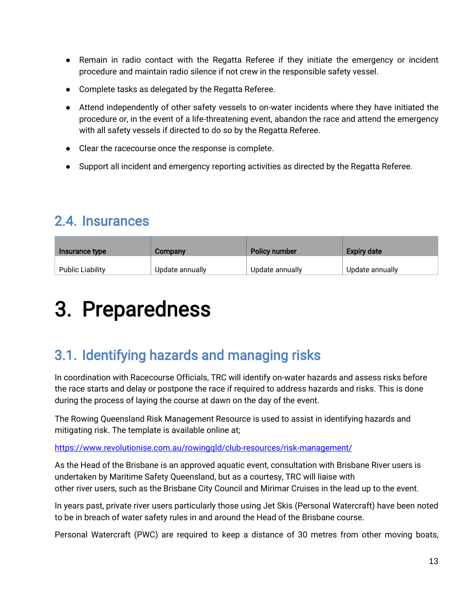- Remain in radio contact with the Regatta Referee if they initiate the emergency or incident procedure and maintain radio silence if not crew in the responsible safety vessel.
- Complete tasks as delegated by the Regatta Referee.
- Attend independently of other safety vessels to on-water incidents where they have initiated the procedure or, in the event of a life-threatening event, abandon the race and attend the emergency with all safety vessels if directed to do so by the Regatta Referee.
- Clear the racecourse once the response is complete.
- Support all incident and emergency reporting activities as directed by the Regatta Referee.

#### <span id="page-12-0"></span>2.4. Insurances

| Insurance type          | Company         | Policy number   | <b>Expiry date</b> |
|-------------------------|-----------------|-----------------|--------------------|
| <b>Public Liability</b> | Update annually | Update annually | Update annually    |

## <span id="page-12-1"></span>3. Preparedness

### <span id="page-12-2"></span>3.1. Identifying hazards and managing risks

In coordination with Racecourse Officials, TRC will identify on-water hazards and assess risks before the race starts and delay or postpone the race if required to address hazards and risks. This is done during the process of laying the course at dawn on the day of the event.

The Rowing Queensland Risk Management Resource is used to assist in identifying hazards and mitigating risk. The template is available online at;

<https://www.revolutionise.com.au/rowingqld/club-resources/risk-management/>

As the Head of the Brisbane is an approved aquatic event, consultation with Brisbane River users is undertaken by Maritime Safety Queensland, but as a courtesy, TRC will liaise with other river users, such as the Brisbane City Council and Mirimar Cruises in the lead up to the event.

In years past, private river users particularly those using Jet Skis (Personal Watercraft) have been noted to be in breach of water safety rules in and around the Head of the Brisbane course.

Personal Watercraft (PWC) are required to keep a distance of 30 metres from other moving boats,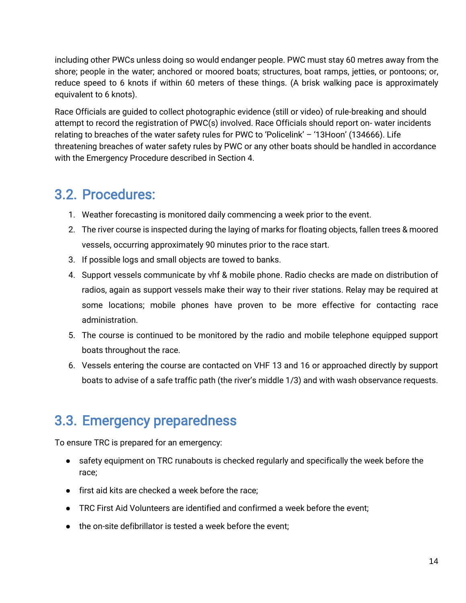including other PWCs unless doing so would endanger people. PWC must stay 60 metres away from the shore; people in the water; anchored or moored boats; structures, boat ramps, jetties, or pontoons; or, reduce speed to 6 knots if within 60 meters of these things. (A brisk walking pace is approximately equivalent to 6 knots).

Race Officials are guided to collect photographic evidence (still or video) of rule-breaking and should attempt to record the registration of PWC(s) involved. Race Officials should report on- water incidents relating to breaches of the water safety rules for PWC to 'Policelink' – '13Hoon' (134666). Life threatening breaches of water safety rules by PWC or any other boats should be handled in accordance with the Emergency Procedure described in Section 4.

#### <span id="page-13-0"></span>3.2. Procedures:

- 1. Weather forecasting is monitored daily commencing a week prior to the event.
- 2. The river course is inspected during the laying of marks for floating objects, fallen trees & moored vessels, occurring approximately 90 minutes prior to the race start.
- 3. If possible logs and small objects are towed to banks.
- 4. Support vessels communicate by vhf & mobile phone. Radio checks are made on distribution of radios, again as support vessels make their way to their river stations. Relay may be required at some locations; mobile phones have proven to be more effective for contacting race administration.
- 5. The course is continued to be monitored by the radio and mobile telephone equipped support boats throughout the race.
- 6. Vessels entering the course are contacted on VHF 13 and 16 or approached directly by support boats to advise of a safe traffic path (the river's middle 1/3) and with wash observance requests.

#### <span id="page-13-1"></span>3.3. Emergency preparedness

To ensure TRC is prepared for an emergency:

- safety equipment on TRC runabouts is checked regularly and specifically the week before the race;
- first aid kits are checked a week before the race;
- TRC First Aid Volunteers are identified and confirmed a week before the event;
- the on-site defibrillator is tested a week before the event;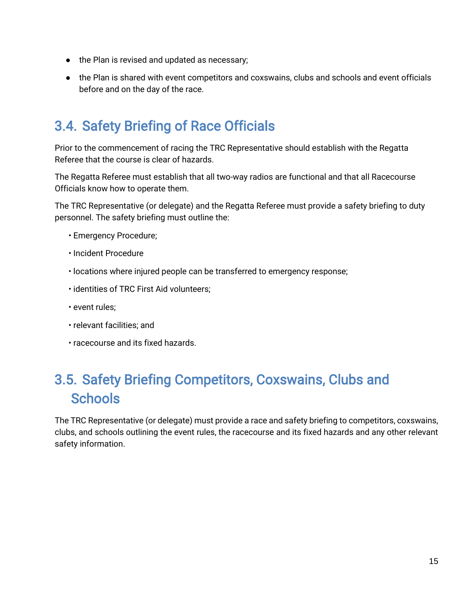- the Plan is revised and updated as necessary;
- the Plan is shared with event competitors and coxswains, clubs and schools and event officials before and on the day of the race.

### <span id="page-14-0"></span>3.4. Safety Briefing of Race Officials

Prior to the commencement of racing the TRC Representative should establish with the Regatta Referee that the course is clear of hazards.

The Regatta Referee must establish that all two-way radios are functional and that all Racecourse Officials know how to operate them.

The TRC Representative (or delegate) and the Regatta Referee must provide a safety briefing to duty personnel. The safety briefing must outline the:

- Emergency Procedure;
- Incident Procedure
- locations where injured people can be transferred to emergency response;
- identities of TRC First Aid volunteers;
- event rules;
- relevant facilities; and
- <span id="page-14-1"></span>• racecourse and its fixed hazards.

### 3.5. Safety Briefing Competitors, Coxswains, Clubs and **Schools**

The TRC Representative (or delegate) must provide a race and safety briefing to competitors, coxswains, clubs, and schools outlining the event rules, the racecourse and its fixed hazards and any other relevant safety information.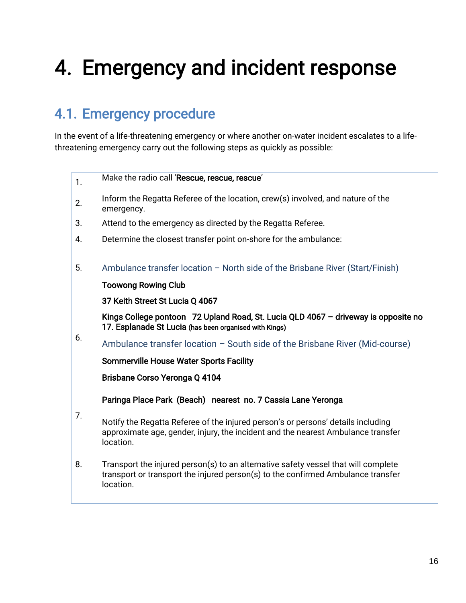## <span id="page-15-0"></span>4. Emergency and incident response

### <span id="page-15-1"></span>4.1. Emergency procedure

In the event of a life-threatening emergency or where another on-water incident escalates to a lifethreatening emergency carry out the following steps as quickly as possible:

| 1. | Make the radio call 'Rescue, rescue, rescue'                                                                                                                                        |  |  |  |  |
|----|-------------------------------------------------------------------------------------------------------------------------------------------------------------------------------------|--|--|--|--|
| 2. | Inform the Regatta Referee of the location, crew(s) involved, and nature of the<br>emergency.                                                                                       |  |  |  |  |
| 3. | Attend to the emergency as directed by the Regatta Referee.                                                                                                                         |  |  |  |  |
| 4. | Determine the closest transfer point on-shore for the ambulance:                                                                                                                    |  |  |  |  |
| 5. | Ambulance transfer location - North side of the Brisbane River (Start/Finish)                                                                                                       |  |  |  |  |
|    | <b>Toowong Rowing Club</b>                                                                                                                                                          |  |  |  |  |
|    | 37 Keith Street St Lucia Q 4067                                                                                                                                                     |  |  |  |  |
|    | Kings College pontoon 72 Upland Road, St. Lucia QLD 4067 - driveway is opposite no<br>17. Esplanade St Lucia (has been organised with Kings)                                        |  |  |  |  |
| 6. | Ambulance transfer location - South side of the Brisbane River (Mid-course)                                                                                                         |  |  |  |  |
|    | <b>Sommerville House Water Sports Facility</b>                                                                                                                                      |  |  |  |  |
|    | Brisbane Corso Yeronga Q 4104                                                                                                                                                       |  |  |  |  |
|    | Paringa Place Park (Beach) nearest no. 7 Cassia Lane Yeronga                                                                                                                        |  |  |  |  |
| 7. | Notify the Regatta Referee of the injured person's or persons' details including<br>approximate age, gender, injury, the incident and the nearest Ambulance transfer<br>location.   |  |  |  |  |
| 8. | Transport the injured person(s) to an alternative safety vessel that will complete<br>transport or transport the injured person(s) to the confirmed Ambulance transfer<br>location. |  |  |  |  |
|    |                                                                                                                                                                                     |  |  |  |  |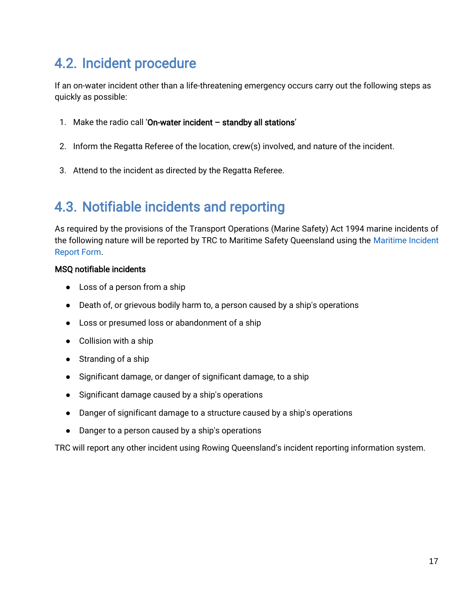#### <span id="page-16-0"></span>4.2. Incident procedure

If an on-water incident other than a life-threatening emergency occurs carry out the following steps as quickly as possible:

- 1. Make the radio call 'On-water incident standby all stations'
- 2. Inform the Regatta Referee of the location, crew(s) involved, and nature of the incident.
- 3. Attend to the incident as directed by the Regatta Referee.

### <span id="page-16-1"></span>4.3. Notifiable incidents and reporting

As required by the provisions of the Transport Operations (Marine Safety) Act 1994 marine incidents of the following nature will be reported by TRC to Maritime Safety Queensland using the Maritime Incident Report Form.

#### MSQ notifiable incidents

- Loss of a person from a ship
- Death of, or grievous bodily harm to, a person caused by a ship's operations
- Loss or presumed loss or abandonment of a ship
- Collision with a ship
- Stranding of a ship
- Significant damage, or danger of significant damage, to a ship
- Significant damage caused by a ship's operations
- Danger of significant damage to a structure caused by a ship's operations
- Danger to a person caused by a ship's operations

TRC will report any other incident using Rowing Queensland's incident reporting information system.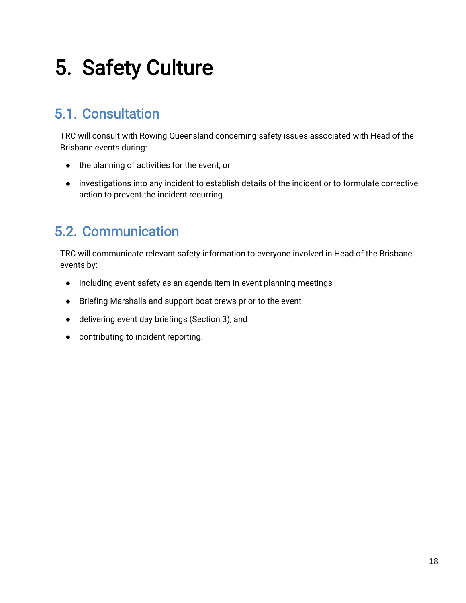## <span id="page-17-0"></span>5. Safety Culture

### <span id="page-17-1"></span>5.1. Consultation

TRC will consult with Rowing Queensland concerning safety issues associated with Head of the Brisbane events during:

- the planning of activities for the event; or
- investigations into any incident to establish details of the incident or to formulate corrective action to prevent the incident recurring.

#### <span id="page-17-2"></span>5.2. Communication

TRC will communicate relevant safety information to everyone involved in Head of the Brisbane events by:

- including event safety as an agenda item in event planning meetings
- Briefing Marshalls and support boat crews prior to the event
- delivering event day briefings (Section 3), and
- contributing to incident reporting.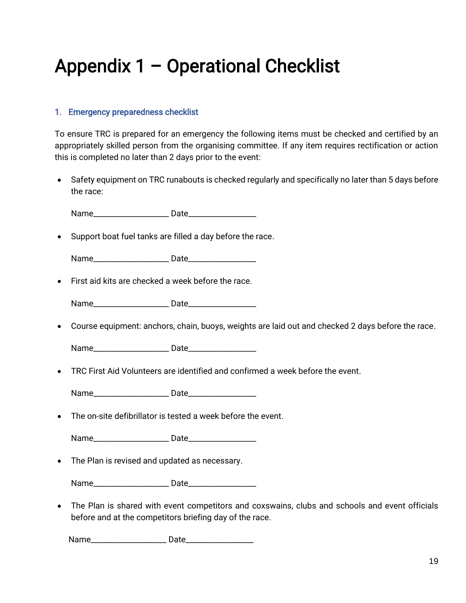## <span id="page-18-0"></span>Appendix 1 – Operational Checklist

#### 1. Emergency preparedness checklist

To ensure TRC is prepared for an emergency the following items must be checked and certified by an appropriately skilled person from the organising committee. If any item requires rectification or action this is completed no later than 2 days prior to the event:

• Safety equipment on TRC runabouts is checked regularly and specifically no later than 5 days before the race:

Name\_\_\_\_\_\_\_\_\_\_\_\_\_\_\_\_\_\_\_\_ Date\_\_\_\_\_\_\_\_\_\_\_\_\_\_\_\_\_\_

• Support boat fuel tanks are filled a day before the race.

Name\_\_\_\_\_\_\_\_\_\_\_\_\_\_\_\_\_\_\_\_ Date\_\_\_\_\_\_\_\_\_\_\_\_\_\_\_\_\_\_

• First aid kits are checked a week before the race.

Name\_\_\_\_\_\_\_\_\_\_\_\_\_\_\_\_\_\_\_\_ Date\_\_\_\_\_\_\_\_\_\_\_\_\_\_\_\_\_\_

• Course equipment: anchors, chain, buoys, weights are laid out and checked 2 days before the race.

Name\_\_\_\_\_\_\_\_\_\_\_\_\_\_\_\_\_\_\_\_ Date\_\_\_\_\_\_\_\_\_\_\_\_\_\_\_\_\_\_

• TRC First Aid Volunteers are identified and confirmed a week before the event.

Name\_\_\_\_\_\_\_\_\_\_\_\_\_\_\_\_\_\_\_\_ Date\_\_\_\_\_\_\_\_\_\_\_\_\_\_\_\_\_\_

• The on-site defibrillator is tested a week before the event.

Name\_\_\_\_\_\_\_\_\_\_\_\_\_\_\_\_\_\_\_\_ Date\_\_\_\_\_\_\_\_\_\_\_\_\_\_\_\_\_\_

• The Plan is revised and updated as necessary.

Name **Name** Date

• The Plan is shared with event competitors and coxswains, clubs and schools and event officials before and at the competitors briefing day of the race.

Name\_\_\_\_\_\_\_\_\_\_\_\_\_\_\_\_\_\_\_\_ Date\_\_\_\_\_\_\_\_\_\_\_\_\_\_\_\_\_\_